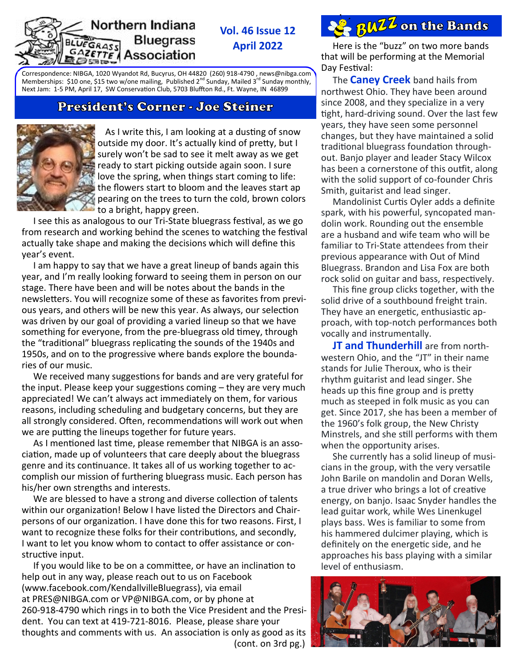#### Northern Indiana **Bluegrass** EGRASS **AZETTE** Association

**Vol. 46 Issue 12 April 2022**

Correspondence: NIBGA, 1020 Wyandot Rd, Bucyrus, OH 44820 (260) 918-4790 , news[@nibga.com](mailto:NL@nibga.com)  Memberships: \$10 one, \$15 two w/one mailing, Published 2<sup>nd</sup> Sunday, Mailed 3<sup>rd</sup> Sunday monthly, Next Jam: 1-5 PM, April 17, SW Conservation Club, 5703 Bluffton Rd., Ft. Wayne, IN 46899

### President's Corner - Joe Steiner



 As I write this, I am looking at a dusting of snow outside my door. It's actually kind of pretty, but I surely won't be sad to see it melt away as we get ready to start picking outside again soon. I sure love the spring, when things start coming to life: the flowers start to bloom and the leaves start ap pearing on the trees to turn the cold, brown colors to a bright, happy green.

 I see this as analogous to our Tri-State bluegrass festival, as we go from research and working behind the scenes to watching the festival actually take shape and making the decisions which will define this year's event.

 I am happy to say that we have a great lineup of bands again this year, and I'm really looking forward to seeing them in person on our stage. There have been and will be notes about the bands in the newsletters. You will recognize some of these as favorites from previous years, and others will be new this year. As always, our selection was driven by our goal of providing a varied lineup so that we have something for everyone, from the pre-bluegrass old timey, through the "traditional" bluegrass replicating the sounds of the 1940s and 1950s, and on to the progressive where bands explore the boundaries of our music.

 We received many suggestions for bands and are very grateful for the input. Please keep your suggestions coming – they are very much appreciated! We can't always act immediately on them, for various reasons, including scheduling and budgetary concerns, but they are all strongly considered. Often, recommendations will work out when we are putting the lineups together for future years.

 As I mentioned last time, please remember that NIBGA is an association, made up of volunteers that care deeply about the bluegrass genre and its continuance. It takes all of us working together to accomplish our mission of furthering bluegrass music. Each person has his/her own strengths and interests.

 We are blessed to have a strong and diverse collection of talents within our organization! Below I have listed the Directors and Chairpersons of our organization. I have done this for two reasons. First, I want to recognize these folks for their contributions, and secondly, I want to let you know whom to contact to offer assistance or constructive input.

 If you would like to be on a committee, or have an inclination to help out in any way, please reach out to us on Facebook [\(www.facebook.com/KendallvilleBluegrass\),](http://www.facebook.com/KendallvilleBluegrass) via email at [PRES@NIBGA.com](mailto:PRES@NIBGA.com) or [VP@NIBGA.com,](mailto:VP@NIBGA.com) or by phone at 260-918-4790 which rings in to both the Vice President and the President. You can text at 419-721-8016. Please, please share your thoughts and comments with us. An association is only as good as its (cont. on 3rd pg.)

# **8 RWZZ** on the Bands

 Here is the "buzz" on two more bands that will be performing at the Memorial Day Festival:

 The **Caney Creek** band hails from northwest Ohio. They have been around since 2008, and they specialize in a very tight, hard-driving sound. Over the last few years, they have seen some personnel changes, but they have maintained a solid traditional bluegrass foundation throughout. Banjo player and leader Stacy Wilcox has been a cornerstone of this outfit, along with the solid support of co-founder Chris Smith, guitarist and lead singer.

 Mandolinist Curtis Oyler adds a definite spark, with his powerful, syncopated mandolin work. Rounding out the ensemble are a husband and wife team who will be familiar to Tri-State attendees from their previous appearance with Out of Mind Bluegrass. Brandon and Lisa Fox are both rock solid on guitar and bass, respectively.

 This fine group clicks together, with the solid drive of a southbound freight train. They have an energetic, enthusiastic approach, with top-notch performances both vocally and instrumentally.

**JT and Thunderhill** are from northwestern Ohio, and the "JT" in their name stands for Julie Theroux, who is their rhythm guitarist and lead singer. She heads up this fine group and is pretty much as steeped in folk music as you can get. Since 2017, she has been a member of the 1960's folk group, the New Christy Minstrels, and she still performs with them when the opportunity arises.

 She currently has a solid lineup of musicians in the group, with the very versatile John Barile on mandolin and Doran Wells, a true driver who brings a lot of creative energy, on banjo. Isaac Snyder handles the lead guitar work, while Wes Linenkugel plays bass. Wes is familiar to some from his hammered dulcimer playing, which is definitely on the energetic side, and he approaches his bass playing with a similar level of enthusiasm.

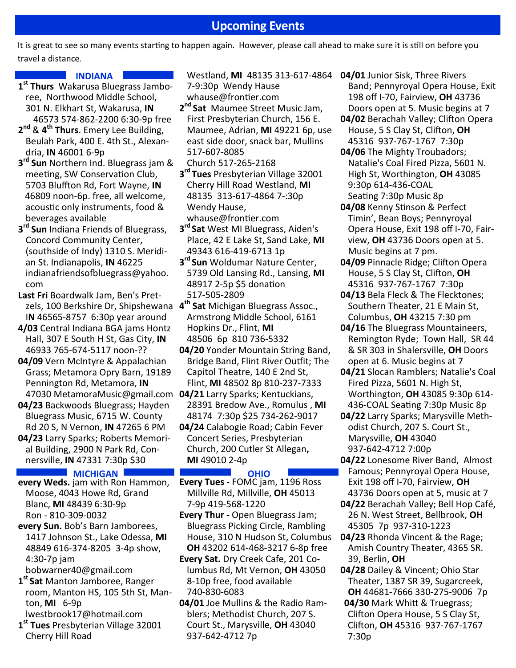## **Upcoming Events**

It is great to see so many events starting to happen again. However, please call ahead to make sure it is still on before you travel a distance.

#### **INDIANA**

- **1 st Thurs** [Wakarusa Bluegrass Jambo](https://www.wakarusabluegrassjam.com/)[ree,](https://www.wakarusabluegrassjam.com/) Northwood Middle School, 301 N. Elkhart St, Wakarusa, **IN** 46573 574-862-2200 6:30-9p free
- **2 nd** & **4 th Thurs**. Emery Lee Building, Beulah Park, 400 E. 4th St., Alexandria, **IN** 46001 6-9p
- **3 rd Sun** Northern Ind. Bluegrass jam & meeting, SW Conservation Club, 5703 Bluffton Rd, Fort Wayne, **IN** 46809 noon-6p. free, all welcome, acoustic only instruments, food & beverages available
- **3 rd Sun** Indiana Friends of Bluegrass, Concord Community Center, (southside of Indy) 1310 S. Meridian St. Indianapolis, **IN** 46225 [indianafriendsofbluegrass@yahoo.](mailto:indianafriendsofbluegrass@yahoo.com) [com](mailto:indianafriendsofbluegrass@yahoo.com)
- **Last Fri** Boardwalk Jam, Ben's Pretzels, 100 Berkshire Dr, Shipshewana **4 th Sat** Michigan Bluegrass Assoc., I**N** 46565-8757 6:30p year around
- **4/03** Central Indiana BGA jams Hontz Hall, 307 E South H St, Gas City, **IN** 46933 765-674-5117 noon-??
- **04/09** Vern McIntyre & Appalachian Grass; [Metamora Opry Barn,](https://www.metamorampa.org/bluegrass-nights-at-the-opry-barn) 19189 Pennington Rd, Metamora, **IN** 47030 [MetamoraMusic@gmail.com](mailto:MetamoraMusic@gmail.com) **04/21** [Larry Sparks;](http://www.larrysparks.com/schedule.php) Kentuckians,
- **04/23** Backwoods Bluegrass; Hayden Bluegrass Music, 6715 W. County Rd 20 S, N Vernon, **IN** 47265 6 PM
- **04/23** [Larry Sparks;](http://www.larrysparks.com/schedule.php) Roberts Memorial Building, 2900 N Park Rd, Connersville, **IN** 47331 7:30p \$30

#### **MICHIGAN CHARGE OHIO**

- **every Weds.** jam with Ron Hammon, Moose, 4043 Howe Rd, Grand Blanc, **MI** 48439 6:30-9p Ron - 810-309-0032
- **every Sun.** Bob'[s Barn Jamborees,](https://www.facebook.com/search/posts/?q=bob%27s%20barn%20jamborees) 1417 Johnson St., Lake Odessa, **MI** 48849 616-374-8205 3-4p show, 4:30-7p jam
- [bobwarner40@gmail.com](mailto:bobwarner40@gmail.com)
- **1 st Sat** Manton Jamboree, Ranger room, Manton HS, 105 5th St, Manton, **MI** 6-9p
- [lwestbrook17@hotmail.com](mailto:lwestbrook17@hotmail.com) **1 st Tues** Presbyterian Village 32001 Cherry Hill Road
- Westland, **MI** 48135 313-617-4864 **04/01** Junior Sisk, Three Rivers 7-9:30p Wendy Hause
- [whause@frontier.com](mailto:whause@frontier.com)
- **2 nd Sat** Maumee Street Music Jam, First Presbyterian Church, 156 E. Maumee, Adrian, **MI** 49221 6p, use east side door, snack bar, Mullins 517-607-8085
- Church 517-265-2168
- **3 rd Tues** Presbyterian Village 32001 Cherry Hill Road Westland, **MI** 48135 313-617-4864 7-:30p Wendy Hause, [whause@frontier.com](mailto:whause@frontier.com)
- **3 rd Sat** [West MI Bluegrass,](http://wmbma.org/) Aiden's Place, 42 E Lake St, Sand Lake, **MI** 49343 616-419-6713 1p
- **3 rd Sun** Woldumar Nature Center, 5739 Old Lansing Rd., Lansing, **MI** 48917 2-5p \$5 donation 517-505-2809
- Armstrong Middle School, 6161 Hopkins Dr., Flint, **MI** 48506 6p 810 736-5332
- **04/20** [Yonder Mountain String Band,](https://www.yondermountain.com/tour/) Bridge Band, Flint River Outfit; The [Capitol Theatre,](https://tickets.thewhiting.com/9494?promoApplied=true&fbclid=IwAR3QM9GIxNWynxri4fK0yb7wGkxuKkjnxbU9No6YuQuOcKwqopRHEuA9hCg) 140 E 2nd St, Flint, **MI** 48502 8p 810-237-7333
- 28391 Bredow Ave., Romulus , **MI** 48174 7:30p \$25 734-262-9017
- **04/24** [Calabogie Road;](http://calabogieroadbluegrass.com/appearances.html) Cabin Fever Concert Series, Presbyterian Church, 200 Cutler St Allegan**, MI** 49010 2-4p

- **Every Tues** FOMC jam, 1196 Ross Millville Rd, Millville, **OH** 45013 7-9p 419-568-1220
- **Every Thur -** Open Bluegrass Jam; Bluegrass Picking Circle, Rambling [House,](http://www.ramblinghouse.com/) 310 N Hudson St, Columbus **OH** 43202 614-468-3217 6-8p free
- **Every Sat.** [Dry Creek Cafe,](https://www.facebook.com/drycreekcafemv) 201 Columbus Rd, Mt Vernon, **OH** 43050 8-10p free, food available 740-830-6083
- **04/01** Joe Mullins & the Radio Ramblers; Methodist Church, 207 S. Court St., Marysville, **OH** 43040 937-642-4712 7p
- Band; [Pennyroyal Opera House,](https://www.pennyroyalbluegrass.com/) Exit 198 off I-70, Fairview, **OH** 43736 Doors open at 5. Music begins at 7
- **04/02** Berachah Valley; Clifton Opera [House,](http://www.villageofclifton.com/full-coh-calendar/) 5 S Clay St, Clifton, **OH** 45316 937-767-1767 7:30p
- **04/06** The Mighty Troubadors; [Natalie's Coal Fired Pizza,](http://nataliescoalfiredpizza.com/) 5601 N. High St, Worthington, **OH** 43085 9:30p 614-436-COAL Seating 7:30p Music 8p
- **04/08** Kenny Stinson & Perfect Timin', Bean Boys; Pennyroyal [Opera House,](https://www.pennyroyalbluegrass.com/) Exit 198 off I-70, Fairview, **OH** 43736 Doors open at 5. Music begins at 7 pm.
- **04/09** Pinnacle Ridge; Clifton Opera [House,](http://www.villageofclifton.com/full-coh-calendar/) 5 S Clay St, Clifton, **OH** 45316 937-767-1767 7:30p
- **04/13** Bela Fleck & The Flecktones; Southern Theater, 21 E Main St, Columbus, **OH** 43215 7:30 pm
- **04/16** The Bluegrass Mountaineers, Remington Ryde; Town Hall, SR 44 & SR 303 in Shalersville, **OH** Doors open at 6. Music begins at 7
- **04/21** Slocan Ramblers; Natalie's Coal [Fired Pizza,](http://nataliescoalfiredpizza.com/) 5601 N. High St, Worthington, **OH** 43085 9:30p 614- 436-COAL Seating 7:30p Music 8p
- **04/22** Larry Sparks; Marysville Methodist Church, 207 S. Court St., Marysville, **OH** 43040 937-642-4712 7:00p
- **04/22** Lonesome River Band, Almost Famous; [Pennyroyal Opera House,](https://www.pennyroyalbluegrass.com/) Exit 198 off I-70, Fairview, **OH** 43736 Doors open at 5, music at 7
- **04/22** Berachah Valley; Bell Hop Café, 26 N. West Street, Bellbrook, **OH** 45305 7p 937-310-1223
- **04/23** Rhonda Vincent & the Rage; Amish Country Theater, 4365 SR. 39, Berlin, **OH**
- **04/28** Dailey & Vincent; Ohio Star [Theater,](https://dhgroup.com/events) 1387 SR 39, Sugarcreek, **OH** 44681-7666 330-275-9006 7p
- **04/30** Mark Whitt & Truegrass; [Clifton Opera House,](http://www.villageofclifton.com/full-coh-calendar/) 5 S Clay St, Clifton, **OH** 45316 937-767-1767 7:30p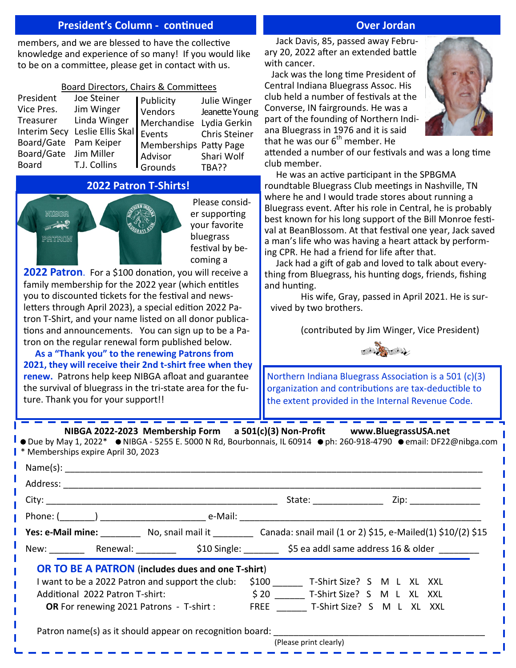#### **President's Column - continued Continued Continued Continued Continues Continues Continues Continues Continues**

members, and we are blessed to have the collective knowledge and experience of so many! If you would like to be on a committee, please get in contact with us.

#### Board Directors, Chairs & Committees

| President             | Joe Steiner                             | <b>Publicity</b>       | Julie Winger   |
|-----------------------|-----------------------------------------|------------------------|----------------|
| Vice Pres.            | Jim Winger                              | <b>Vendors</b>         | Jeanette Young |
| Treasurer             | Linda Winger                            | Merchandise            | Lydia Gerkin   |
|                       | Interim Secy Leslie Ellis Skal   Events |                        | Chris Steiner  |
| Board/Gate Pam Keiper |                                         | Memberships Patty Page |                |
| Board/Gate Jim Miller |                                         | Advisor                | Shari Wolf     |
| Board                 | T.J. Collins                            | <b>I</b> Grounds       | TBA??          |

### **2022 Patron T-Shirts!**



**2022 Patron**. For a \$100 donation, you will receive a family membership for the 2022 year (which entitles you to discounted tickets for the festival and newsletters through April 2023), a special edition 2022 Patron T-Shirt, and your name listed on all donor publications and announcements. You can sign up to be a Patron on the regular renewal form published below.

 **As a "Thank you" to the renewing Patrons from 2021, they will receive their 2nd t-shirt free when they renew.** Patrons help keep NIBGA afloat and guarantee the survival of bluegrass in the tri-state area for the future. Thank you for your support!!

#### Jack Davis, 85, passed away February 20, 2022 after an extended battle with cancer.

 Jack was the long time President of Central Indiana Bluegrass Assoc. His club held a number of festivals at the Converse, IN fairgrounds. He was a part of the founding of Northern Indiana Bluegrass in 1976 and it is said that he was our  $6<sup>th</sup>$  member. He



attended a number of our festivals and was a long time club member.

 He was an active participant in the SPBGMA roundtable Bluegrass Club meetings in Nashville, TN where he and I would trade stores about running a Bluegrass event. After his role in Central, he is probably best known for his long support of the Bill Monroe festival at BeanBlossom. At that festival one year, Jack saved a man's life who was having a heart attack by performing CPR. He had a friend for life after that.

 Jack had a gift of gab and loved to talk about everything from Bluegrass, his hunting dogs, friends, fishing and hunting.

His wife, Gray, passed in April 2021. He is survived by two brothers.

(contributed by Jim Winger, Vice President)



Northern Indiana Bluegrass Association is a 501 (c)(3) organization and contributions are tax-deductible to the extent provided in the Internal Revenue Code.

 **NIBGA 2022-2023 Membership Form a 501(c)(3) Non-Profit www.BluegrassUSA.net** 

 $\bullet$  Due by May 1, 2022\*  $\bullet$  NIBGA - 5255 E. 5000 N Rd, Bourbonnais, IL 60914  $\bullet$  ph: 260-918-4790  $\bullet$  email: DF22@nibga.com \* Memberships expire April 30, 2023

|                                                                                 |  | Phone: $(\_\_\_\_)$                                                                                                     |                                 |                                  |  |  |  |
|---------------------------------------------------------------------------------|--|-------------------------------------------------------------------------------------------------------------------------|---------------------------------|----------------------------------|--|--|--|
|                                                                                 |  | <b>Yes: e-Mail mine:</b> No, snail mail it Canada: snail mail $(1 \text{ or } 2)$ \$15, e-Mailed $(1)$ \$10/ $(2)$ \$15 |                                 |                                  |  |  |  |
|                                                                                 |  | New: _________ Renewal: ___________ \$10 Single: ________ \$5 ea addl same address 16 & older _______                   |                                 |                                  |  |  |  |
|                                                                                 |  | <b>OR TO BE A PATRON</b> (includes dues and one T-shirt)                                                                |                                 |                                  |  |  |  |
|                                                                                 |  | I want to be a 2022 Patron and support the club:                                                                        |                                 | \$100 T-Shirt Size? S M L XL XXL |  |  |  |
| Additional 2022 Patron T-shirt:                                                 |  |                                                                                                                         | \$20 T-Shirt Size? S M L XL XXL |                                  |  |  |  |
| <b>OR</b> For renewing 2021 Patrons - T-shirt : FREE T-Shirt Size? S M L XL XXL |  |                                                                                                                         |                                 |                                  |  |  |  |